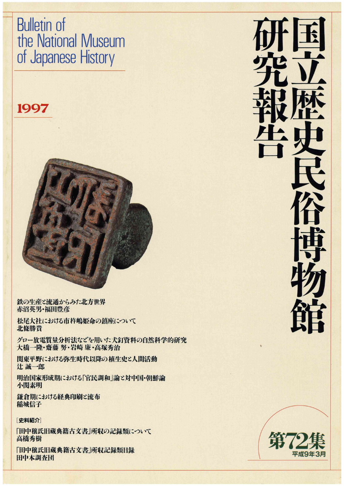# Bulleτin of the National Museum of Japanese History

## 1997



鉄の生産と流通からみた北方世界 赤沼英男・福田豊彦

松尾大社における市杵嶋姫命の鎮座について 北條勝貴

グロー放電質量分析法などを用いた犬釘資料の自然科学的研究 大橋一隆・齋藤 努・岩崎 廉・高塚秀治

関東平野における弥生時代以降の植生史ε人間活動 辻誠一郎

明治国家形成期における「官民調和」論ピ対中国・朝鮮論 小関素明

鎌倉期における経典印刷ピ流布 稲城信子

## [史料紹介]

「田中穣氏旧蔵典籍古文書」所収の記録類について 高橋秀樹

「田中穣氏旧蔵典籍古交書」所収記録類目録 田中本調査団

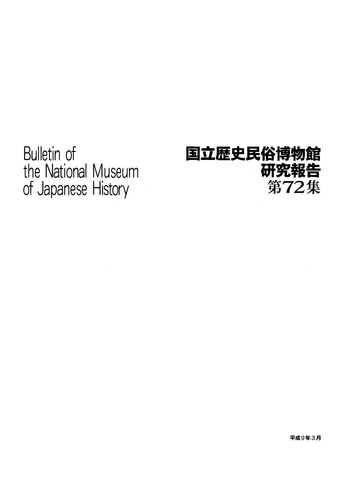Bulletin of the National Museum of Japanese History

# 国立歴史民俗博物館 研究報告 第72集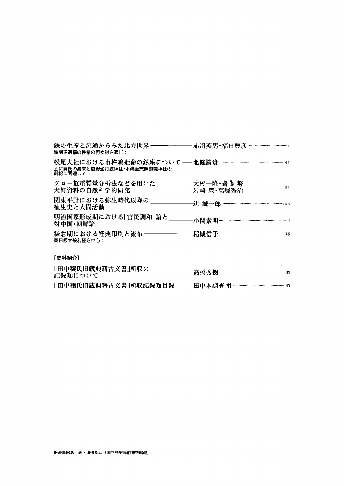| 鉄関連遺構の性格の再検討を通じて                      |           |
|---------------------------------------|-----------|
| 主に秦氏の渡来と葛野坐月読神社・木嶋坐天照御魂神社の<br>創祀に関連して |           |
| グロー放電質量分析法などを用いた<br>犬釘資料の自然科学的研究      | 岩崎 廉·高塚秀治 |
| 関東平野における弥生時代以降の<br>植生史と人間活動           |           |
| 明治国家形成期における「官民調和」論と<br>対中国・朝鮮論        |           |
| 鎌倉期における経典印刷と流布 ―――<br>春日版大般若経を中心に     |           |
|                                       |           |

### [史料紹介]

| 「田中穣氏旧蔵典籍古文書」所収の<br>記録類について |  |
|-----------------------------|--|
| 「田中穣氏旧蔵典籍古文書」所収記録類目録        |  |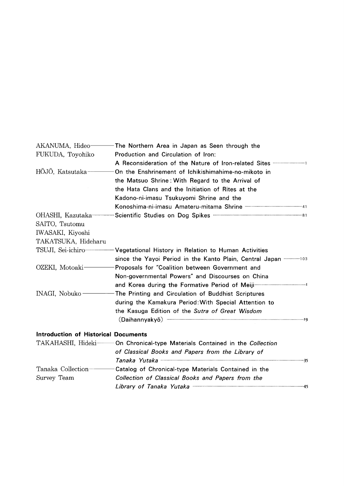|                                             | AKANUMA, Hideo The Northern Area in Japan as Seen through the                                                               |
|---------------------------------------------|-----------------------------------------------------------------------------------------------------------------------------|
| FUKUDA, Toyohiko                            | Production and Circulation of Iron:                                                                                         |
|                                             | A Reconsideration of the Nature of Iron-related Sites <b>CONSIDER A Reconsideration</b> of the Nature of Iron-related Sites |
| HŌJŌ, Katsutaka-                            | On the Enshrinement of Ichikishimahime-no-mikoto in                                                                         |
|                                             | the Matsuo Shrine: With Regard to the Arrival of                                                                            |
|                                             | the Hata Clans and the Initiation of Rites at the                                                                           |
|                                             | Kadono-ni-imasu Tsukuyomi Shrine and the                                                                                    |
|                                             |                                                                                                                             |
| OHASHI, Kazutaka-                           | Scientific Studies on Dog Spikes <b>Confirmation Contains Container Contains Contains Contains Contains Contains Con</b>    |
| SAITO, Tsutomu                              |                                                                                                                             |
| IWASAKI, Kiyoshi                            |                                                                                                                             |
| TAKATSUKA, Hideharu                         |                                                                                                                             |
|                                             | TSUJI, Sei-ichiro - Vegetational History in Relation to Human Activities                                                    |
|                                             |                                                                                                                             |
| OZEKI, Motoaki-                             | Proposals for "Coalition between Government and                                                                             |
|                                             | Non-governmental Powers" and Discourses on China                                                                            |
|                                             |                                                                                                                             |
| INAGI, Nobuko -                             | -The Printing and Circulation of Buddhist Scriptures                                                                        |
|                                             | during the Kamakura Period: With Special Attention to                                                                       |
|                                             | the Kasuga Edition of the Sutra of Great Wisdom                                                                             |
|                                             |                                                                                                                             |
| <b>Introduction of Historical Documents</b> |                                                                                                                             |
|                                             | TAKAHASHI, Hideki—— On Chronical-type Materials Contained in the Collection                                                 |
|                                             | of Classical Books and Papers from the Library of                                                                           |
|                                             |                                                                                                                             |
| Tanaka Collection-                          | Catalog of Chronical-type Materials Contained in the                                                                        |
| Survey Team                                 | Collection of Classical Books and Papers from the                                                                           |
|                                             | Library of Tanaka Yutaka <b>Witaka 2000 Milan ya Tana ya Tana ya Tana</b> 45                                                |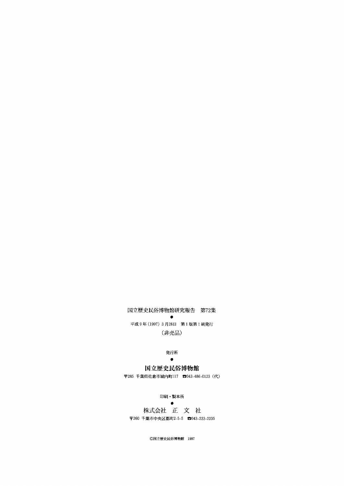## 国立歴史民俗博物館研究報告 第72集

and the state of the state of the state of the state of the state of the state of the state of the state of the 平成9年(1997)3月28日 第1版第1刷発行 (非売品)

#### 発行所

#### and the state of the state of the 国立歴史民俗博物館

〒285 千葉県佐倉市城内町117 ☎043-486-0123 (代)

#### 印刷・製本所

experience and the second second 株式会社 正 文 社 〒260 千葉市中央区都町2-5-5 ☎043-233-2235

◎国立歴史民俗博物館 1997